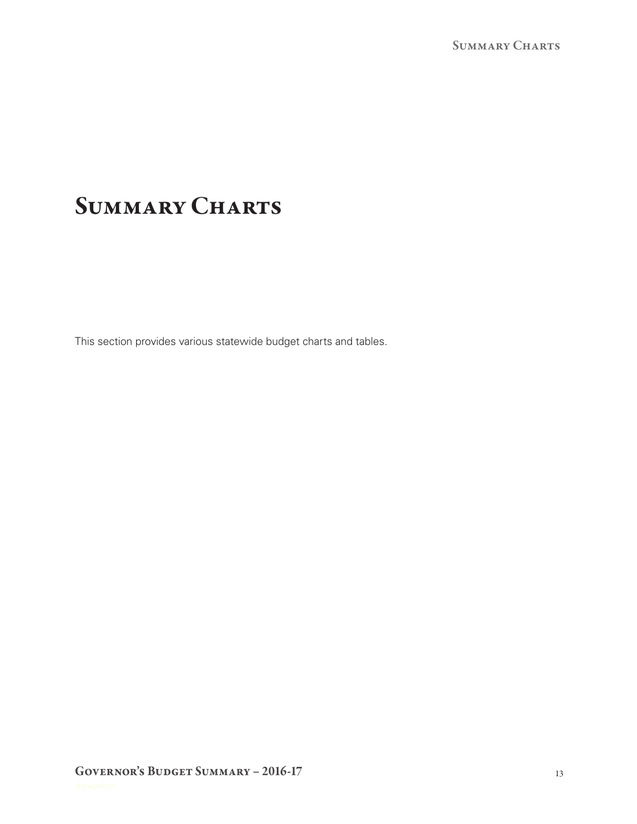# SUMMARY CHARTS

This section provides various statewide budget charts and tables.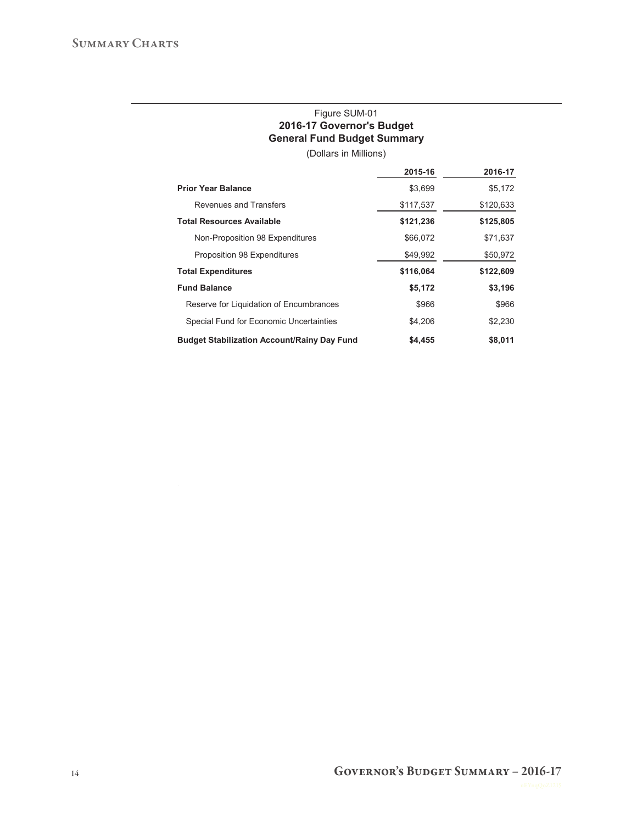### Figure SUM-01 **2016-17 Governor's Budget General Fund Budget Summary**

(Dollars in Millions)

|                                                    | 2015-16   | 2016-17   |
|----------------------------------------------------|-----------|-----------|
| <b>Prior Year Balance</b>                          | \$3,699   | \$5,172   |
| Revenues and Transfers                             | \$117,537 | \$120,633 |
| <b>Total Resources Available</b>                   | \$121,236 | \$125,805 |
| Non-Proposition 98 Expenditures                    | \$66,072  | \$71,637  |
| Proposition 98 Expenditures                        | \$49,992  | \$50,972  |
| <b>Total Expenditures</b>                          | \$116,064 | \$122,609 |
| <b>Fund Balance</b>                                | \$5,172   | \$3,196   |
| Reserve for Liquidation of Encumbrances            | \$966     | \$966     |
| Special Fund for Economic Uncertainties            | \$4.206   | \$2,230   |
| <b>Budget Stabilization Account/Rainy Day Fund</b> | \$4,455   | \$8,011   |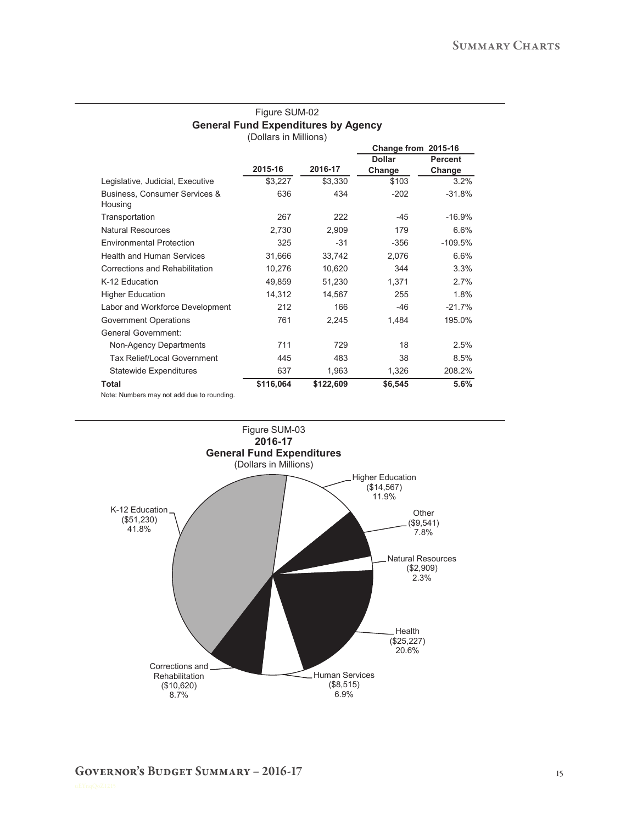| Gelleral Fully Experiences by Agency<br>(Dollars in Millions) |           |           |                     |                |  |
|---------------------------------------------------------------|-----------|-----------|---------------------|----------------|--|
|                                                               |           |           | Change from 2015-16 |                |  |
|                                                               |           |           | <b>Dollar</b>       | <b>Percent</b> |  |
|                                                               | 2015-16   | 2016-17   | Change              | Change         |  |
| Legislative, Judicial, Executive                              | \$3,227   | \$3,330   | \$103               | 3.2%           |  |
| Business, Consumer Services &<br>Housing                      | 636       | 434       | $-202$              | $-31.8%$       |  |
| Transportation                                                | 267       | 222       | $-45$               | $-16.9%$       |  |
| <b>Natural Resources</b>                                      | 2,730     | 2,909     | 179                 | 6.6%           |  |
| <b>Environmental Protection</b>                               | 325       | $-31$     | $-356$              | $-109.5%$      |  |
| <b>Health and Human Services</b>                              | 31,666    | 33,742    | 2,076               | 6.6%           |  |
| Corrections and Rehabilitation                                | 10,276    | 10,620    | 344                 | 3.3%           |  |
| K-12 Education                                                | 49,859    | 51,230    | 1,371               | 2.7%           |  |
| <b>Higher Education</b>                                       | 14,312    | 14,567    | 255                 | 1.8%           |  |
| Labor and Workforce Development                               | 212       | 166       | $-46$               | $-21.7%$       |  |
| Government Operations                                         | 761       | 2,245     | 1,484               | 195.0%         |  |
| <b>General Government:</b>                                    |           |           |                     |                |  |
| Non-Agency Departments                                        | 711       | 729       | 18                  | 2.5%           |  |
| <b>Tax Relief/Local Government</b>                            | 445       | 483       | 38                  | 8.5%           |  |
| <b>Statewide Expenditures</b>                                 | 637       | 1,963     | 1,326               | 208.2%         |  |
| Total                                                         | \$116,064 | \$122,609 | \$6,545             | 5.6%           |  |

## Figure SUM-02 **General Fund Expenditures by Agency**

Note: Numbers may not add due to rounding.

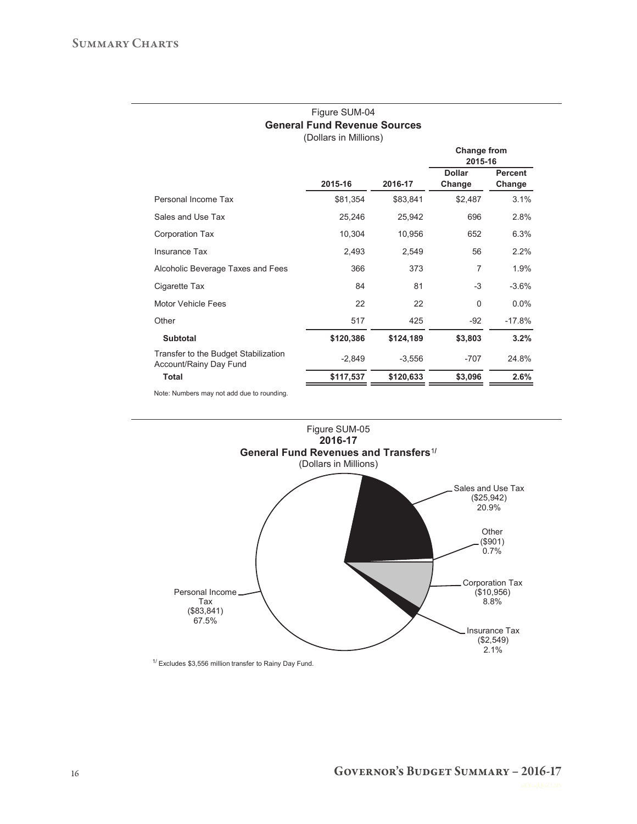#### Figure SUM-04 **General Fund Revenue Sources** (Dollars in Millions)

|                                                                |           |           | Change from<br>2015-16  |                          |
|----------------------------------------------------------------|-----------|-----------|-------------------------|--------------------------|
|                                                                | 2015-16   | 2016-17   | <b>Dollar</b><br>Change | <b>Percent</b><br>Change |
| Personal Income Tax                                            | \$81,354  | \$83,841  | \$2,487                 | 3.1%                     |
| Sales and Use Tax                                              | 25,246    | 25,942    | 696                     | 2.8%                     |
| Corporation Tax                                                | 10,304    | 10,956    | 652                     | 6.3%                     |
| Insurance Tax                                                  | 2,493     | 2,549     | 56                      | 2.2%                     |
| Alcoholic Beverage Taxes and Fees                              | 366       | 373       | $\overline{7}$          | 1.9%                     |
| Cigarette Tax                                                  | 84        | 81        | $-3$                    | $-3.6%$                  |
| Motor Vehicle Fees                                             | 22        | 22        | $\Omega$                | $0.0\%$                  |
| Other                                                          | 517       | 425       | -92                     | $-17.8%$                 |
| <b>Subtotal</b>                                                | \$120,386 | \$124,189 | \$3,803                 | 3.2%                     |
| Transfer to the Budget Stabilization<br>Account/Rainy Day Fund | $-2,849$  | $-3,556$  | $-707$                  | 24.8%                    |
| <b>Total</b>                                                   | \$117,537 | \$120,633 | \$3,096                 | 2.6%                     |
|                                                                |           |           |                         |                          |

Note: Numbers may not add due to rounding.



 $1/$  Excludes \$3,556 million transfer to Rainy Day Fund.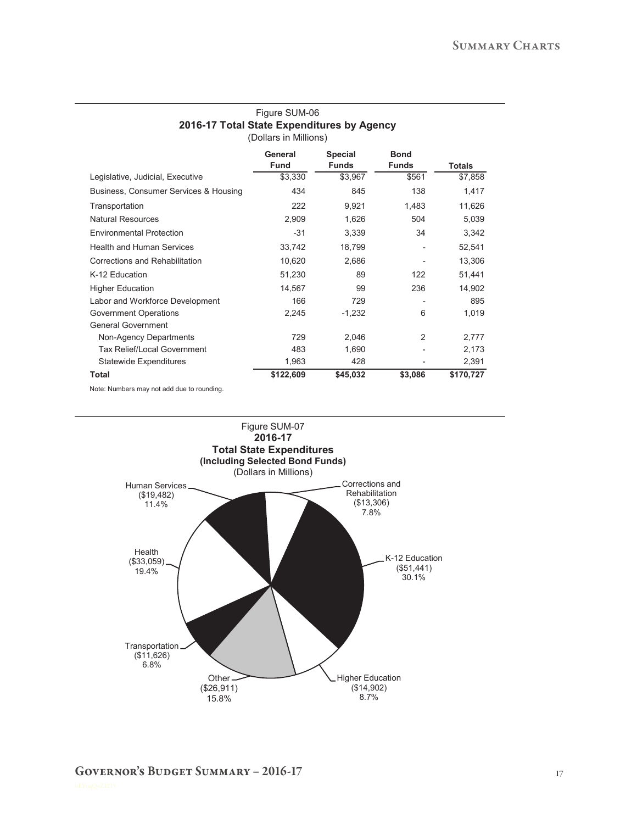#### Figure SUM-06 **2016-17 Total State Expenditures by Agency** (Dollars in Millions)

|                                       | General<br><b>Fund</b> | <b>Special</b><br><b>Funds</b> | <b>Bond</b><br><b>Funds</b> | <b>Totals</b> |
|---------------------------------------|------------------------|--------------------------------|-----------------------------|---------------|
| Legislative, Judicial, Executive      | \$3,330                | \$3,967                        | \$561                       | \$7,858       |
| Business, Consumer Services & Housing | 434                    | 845                            | 138                         | 1,417         |
| Transportation                        | 222                    | 9,921                          | 1,483                       | 11,626        |
| <b>Natural Resources</b>              | 2,909                  | 1,626                          | 504                         | 5,039         |
| <b>Environmental Protection</b>       | $-31$                  | 3,339                          | 34                          | 3,342         |
| <b>Health and Human Services</b>      | 33,742                 | 18,799                         |                             | 52,541        |
| Corrections and Rehabilitation        | 10,620                 | 2,686                          |                             | 13,306        |
| K-12 Education                        | 51,230                 | 89                             | 122                         | 51,441        |
| <b>Higher Education</b>               | 14,567                 | 99                             | 236                         | 14,902        |
| Labor and Workforce Development       | 166                    | 729                            |                             | 895           |
| <b>Government Operations</b>          | 2,245                  | $-1,232$                       | 6                           | 1,019         |
| <b>General Government</b>             |                        |                                |                             |               |
| Non-Agency Departments                | 729                    | 2,046                          | 2                           | 2,777         |
| Tax Relief/Local Government           | 483                    | 1,690                          |                             | 2,173         |
| <b>Statewide Expenditures</b>         | 1,963                  | 428                            |                             | 2,391         |
| <b>Total</b>                          | \$122,609              | \$45,032                       | \$3,086                     | \$170,727     |
|                                       |                        |                                |                             |               |

Note: Numbers may not add due to rounding.